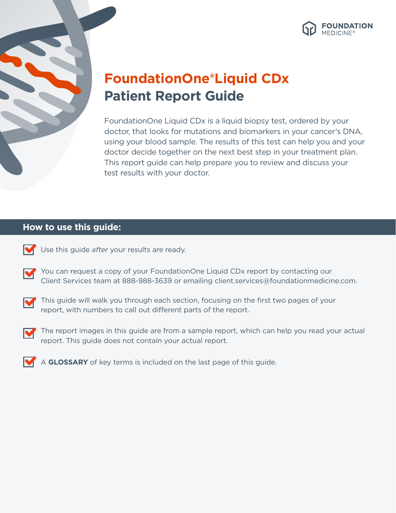



# **FoundationOne®Liquid CDx Patient Report Guide**

FoundationOne Liquid CDx is a liquid biopsy test, ordered by your doctor, that looks for mutations and biomarkers in your cancer's DNA, using your blood sample. The results of this test can help you and your doctor decide together on the next best step in your treatment plan. This report guide can help prepare you to review and discuss your test results with your doctor.

# **How to use this guide:**



Use this guide *after* your results are ready.

You can request a copy of your FoundationOne Liquid CDx report by contacting our M Client Services team at 888-988-3639 or emailing client.services@foundationmedicine.com.



This guide will walk you through each section, focusing on the first two pages of your report, with numbers to call out different parts of the report.



The report images in this guide are from a sample report, which can help you read your actual report. This guide does not contain your actual report.



A **GLOSSARY** of key terms is included on the last page of this guide.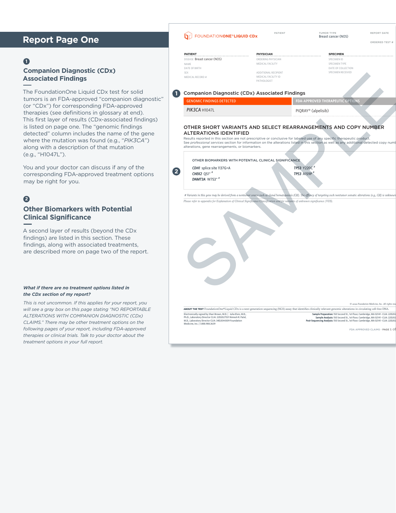# **Report Page One**

### **1**

### **Companion Diagnostic (CDx) Associated Findings**

The FoundationOne Liquid CDx test for solid tumors is an FDA-approved "companion diagnostic" (or "CDx") for corresponding FDA-approved therapies (see definitions in glossary at end). This first layer of results (CDx-associated findings) is listed on page one. The "genomic findings detected" column includes the name of the gene where the mutation was found (e.g., "*PIK3CA*") along with a description of that mutation (e.g., "H1047L").

You and your doctor can discuss if any of the corresponding FDA-approved treatment options may be right for you.

# **2**

# **Other Biomarkers with Potential Clinical Significance**

A second layer of results (beyond the CDx findings) are listed in this section. These findings, along with associated treatments, are described more on page two of the report.

#### *What if there are no treatment options listed in the CDx section of my report?*

*This is not uncommon. If this applies for your report, you will see a gray box on this page stating "NO REPORTABLE ALTERATIONS WITH COMPANION DIAGNOSTIC (CDx) CLAIMS." There may be other treatment options on the following pages of your report, including FDA-approved therapies or clinical trials. Talk to your doctor about the treatment options in your full report.*

| FOUNDATIONONE®LIQUID CDx                                                                                                                                                                                                                                                                                                                                                                                                    | PATIENT                                               | TUMOR TYPE<br>Breast cancer (NOS)                                                                                                                                                                                                                              | REPORT DATE                                      |  |  |
|-----------------------------------------------------------------------------------------------------------------------------------------------------------------------------------------------------------------------------------------------------------------------------------------------------------------------------------------------------------------------------------------------------------------------------|-------------------------------------------------------|----------------------------------------------------------------------------------------------------------------------------------------------------------------------------------------------------------------------------------------------------------------|--------------------------------------------------|--|--|
|                                                                                                                                                                                                                                                                                                                                                                                                                             |                                                       |                                                                                                                                                                                                                                                                | ORDERED TEST #                                   |  |  |
| <b>PATIENT</b>                                                                                                                                                                                                                                                                                                                                                                                                              | <b>PHYSICIAN</b>                                      | <b>SPECIMEN</b>                                                                                                                                                                                                                                                |                                                  |  |  |
| DISEASE Breast cancer (NOS)                                                                                                                                                                                                                                                                                                                                                                                                 | ORDERING PHYSICIAN                                    | SPECIMEN ID                                                                                                                                                                                                                                                    |                                                  |  |  |
| NAME                                                                                                                                                                                                                                                                                                                                                                                                                        | MEDICAL FACILITY                                      | SPECIMEN TYPE                                                                                                                                                                                                                                                  |                                                  |  |  |
| DATE OF BIRTH                                                                                                                                                                                                                                                                                                                                                                                                               |                                                       | DATE OF COLLECTION                                                                                                                                                                                                                                             |                                                  |  |  |
| <b>SFX</b>                                                                                                                                                                                                                                                                                                                                                                                                                  | ADDITIONAL RECIPIENT                                  | SPECIMEN RECEIVED                                                                                                                                                                                                                                              |                                                  |  |  |
| MEDICAL RECORD #                                                                                                                                                                                                                                                                                                                                                                                                            | MEDICAL FACILITY ID<br>PATHOLOGIST                    |                                                                                                                                                                                                                                                                |                                                  |  |  |
| <b>Companion Diagnostic (CDx) Associated Findings</b>                                                                                                                                                                                                                                                                                                                                                                       |                                                       |                                                                                                                                                                                                                                                                |                                                  |  |  |
| <b>GENOMIC FINDINGS DETECTED</b>                                                                                                                                                                                                                                                                                                                                                                                            |                                                       | <b>FDA-APPROVED THERAPEUTIC OPTIONS</b>                                                                                                                                                                                                                        |                                                  |  |  |
| PIK3CA H1047L                                                                                                                                                                                                                                                                                                                                                                                                               |                                                       | PIQRAY® (alpelisib)                                                                                                                                                                                                                                            |                                                  |  |  |
| OTHER SHORT VARIANTS AND SELECT REARRANGEMENTS AND COPY NUMBER<br><b>ALTERATIONS IDENTIFIED</b><br>Results reported in this section are not prescriptive or conclusive for labeled use of any specific therapeutic product.<br>See professional services section for information on the alterations listed in this section as well as any additional detected copy numb<br>alterations, gene rearrangements, or biomarkers. |                                                       |                                                                                                                                                                                                                                                                |                                                  |  |  |
|                                                                                                                                                                                                                                                                                                                                                                                                                             | OTHER BIOMARKERS WITH POTENTIAL CLINICAL SIGNIFICANCE | <b>TP53 Y220C</b>                                                                                                                                                                                                                                              |                                                  |  |  |
| CDH1 splice site 1137G>A                                                                                                                                                                                                                                                                                                                                                                                                    |                                                       |                                                                                                                                                                                                                                                                |                                                  |  |  |
| CHEK2 Q51* $#$                                                                                                                                                                                                                                                                                                                                                                                                              |                                                       | TP53 A159P                                                                                                                                                                                                                                                     |                                                  |  |  |
| DNMT3A W753*#                                                                                                                                                                                                                                                                                                                                                                                                               |                                                       |                                                                                                                                                                                                                                                                |                                                  |  |  |
|                                                                                                                                                                                                                                                                                                                                                                                                                             |                                                       |                                                                                                                                                                                                                                                                |                                                  |  |  |
| # Variants in this gene may be derived from a nontumor source such as clonal hematopolesis (CH). The efficacy of targeting such nontumor somatic alterations (e.g., CH) is unknown                                                                                                                                                                                                                                          |                                                       |                                                                                                                                                                                                                                                                |                                                  |  |  |
| Please refer to appendix for Explanation of Clinical Significance Classification and for variants of unknown significance (VUS).                                                                                                                                                                                                                                                                                            |                                                       |                                                                                                                                                                                                                                                                |                                                  |  |  |
|                                                                                                                                                                                                                                                                                                                                                                                                                             |                                                       |                                                                                                                                                                                                                                                                |                                                  |  |  |
|                                                                                                                                                                                                                                                                                                                                                                                                                             |                                                       |                                                                                                                                                                                                                                                                |                                                  |  |  |
|                                                                                                                                                                                                                                                                                                                                                                                                                             |                                                       |                                                                                                                                                                                                                                                                |                                                  |  |  |
|                                                                                                                                                                                                                                                                                                                                                                                                                             |                                                       |                                                                                                                                                                                                                                                                |                                                  |  |  |
|                                                                                                                                                                                                                                                                                                                                                                                                                             |                                                       |                                                                                                                                                                                                                                                                |                                                  |  |  |
|                                                                                                                                                                                                                                                                                                                                                                                                                             |                                                       |                                                                                                                                                                                                                                                                |                                                  |  |  |
|                                                                                                                                                                                                                                                                                                                                                                                                                             |                                                       |                                                                                                                                                                                                                                                                |                                                  |  |  |
|                                                                                                                                                                                                                                                                                                                                                                                                                             |                                                       |                                                                                                                                                                                                                                                                |                                                  |  |  |
|                                                                                                                                                                                                                                                                                                                                                                                                                             |                                                       |                                                                                                                                                                                                                                                                | C 2022 Foundation Medicine, Inc. All rights rese |  |  |
| ABOUT THE TEST FoundationOne®Liquid CDx is a next generation sequencing (NGS) assay that identifies clinically relevant genomic alterations in circulating cell-free DNA.                                                                                                                                                                                                                                                   |                                                       |                                                                                                                                                                                                                                                                |                                                  |  |  |
| Electronically signed by Shari Brown, M.D.   Julia Elvin, M.D.,<br>Ph.D., Laboratory Director CLIA: 22D2027531 Nimesh R. Patel,<br>M.D., Laboratory Director CLIA: 34D2044309 Foundation<br>Medicine, Inc.   1.888.988.3639                                                                                                                                                                                                 |                                                       | Sample Preparation: 150 Second St., 1st Floor, Cambridge, MA 02141 - CLIA: 22D202<br>Sample Analysis: 150 Second St., 1st Floor, Cambridge, MA 02141 - CLIA: 22D202<br>Post-Sequencing Analysis: 150 Second St., 1st Floor. Cambridge, MA 02141 - CLIA: 22D202 |                                                  |  |  |
|                                                                                                                                                                                                                                                                                                                                                                                                                             |                                                       |                                                                                                                                                                                                                                                                | FDA APPROVED CLAIMS - PAGE 1 01                  |  |  |
|                                                                                                                                                                                                                                                                                                                                                                                                                             |                                                       |                                                                                                                                                                                                                                                                |                                                  |  |  |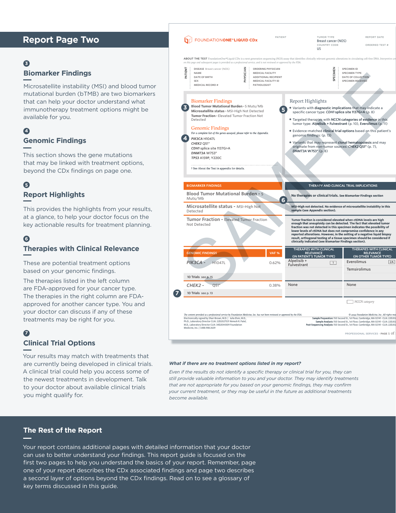# **Report Page Two**

# **3**

### **Biomarker Findings**

Microsatellite instability (MSI) and blood tumor mutational burden (bTMB) are two biomarkers that can help your doctor understand what immunotherapy treatment options might be available for you.

# **Genomic Findings 4**

This section shows the gene mutations that may be linked with treatment options, beyond the CDx findings on page one.

### **Report Highlights 5**

This provides the highlights from your results, at a glance, to help your doctor focus on the key actionable results for treatment planning.

### **Therapies with Clinical Relevance 6**

These are potential treatment options based on your genomic findings.

The therapies listed in the left column are FDA-approved for your cancer type. The therapies in the right column are FDAapproved for another cancer type. You and your doctor can discuss if any of these treatments may be right for you.

## **7**

### **Clinical Trial Options**

Your results may match with treatments that are currently being developed in clinical trials. A clinical trial could help you access some of the newest treatments in development. Talk to your doctor about available clinical trials you might qualify for.

|                                                          | FOUNDATIONONE <sup>®</sup> LIQUID CDx                                                                                                                                                                                                                                                                              |                                                                                                                                                                                                                                                                               | PATIENT                                                                                                                                                                                                                                                                                                                                                                                                                                                                                                  |                                                                                                                                                                                                                                             | <b>TUMOR TYPE</b><br>Breast cancer (NOS)<br>COUNTRY CODE<br>115                                            |                                                                         | REPORT DATE<br>ORDERED TEST #                                                                                                                                                                                  |  |
|----------------------------------------------------------|--------------------------------------------------------------------------------------------------------------------------------------------------------------------------------------------------------------------------------------------------------------------------------------------------------------------|-------------------------------------------------------------------------------------------------------------------------------------------------------------------------------------------------------------------------------------------------------------------------------|----------------------------------------------------------------------------------------------------------------------------------------------------------------------------------------------------------------------------------------------------------------------------------------------------------------------------------------------------------------------------------------------------------------------------------------------------------------------------------------------------------|---------------------------------------------------------------------------------------------------------------------------------------------------------------------------------------------------------------------------------------------|------------------------------------------------------------------------------------------------------------|-------------------------------------------------------------------------|----------------------------------------------------------------------------------------------------------------------------------------------------------------------------------------------------------------|--|
|                                                          | ABOUT THE TEST FoundationOne®Liquid CDx is a next generation sequencing (NGS) assay that identifies clinically relevant genomic alterations in circulating cell-free DNA. Interpretive cor<br>on this page and subsequent pages is provided as a professional service, and is not reviewed or approved by the FDA. |                                                                                                                                                                                                                                                                               |                                                                                                                                                                                                                                                                                                                                                                                                                                                                                                          |                                                                                                                                                                                                                                             |                                                                                                            |                                                                         |                                                                                                                                                                                                                |  |
| ĒΝ<br>FAT                                                | DISEASE Breast cancer (NOS)<br>NAME<br>DATE OF BIRTH<br><b>SEX</b><br><b>MEDICAL RECORD#</b>                                                                                                                                                                                                                       | PHYSICIAN<br><b>PATHOLOGIST</b>                                                                                                                                                                                                                                               | ORDERING PHYSICIAN<br>MEDICAL FACILITY<br>ADDITIONAL RECIPIENT<br>MEDICAL FACILITY ID                                                                                                                                                                                                                                                                                                                                                                                                                    |                                                                                                                                                                                                                                             | <b>SPECIMEN</b>                                                                                            | SPECIMEN ID<br>SPECIMEN TYPE<br>DATE OF COLLECTION<br>SPECIMEN RECEIVED |                                                                                                                                                                                                                |  |
|                                                          | <b>Biomarker Findings</b><br>Blood Tumor Mutational Burden - 5 Muts/Mb<br>Microsatellite status - MSI-High Not Detected<br>Tumor Fraction - Elevated Tumor Fraction Not<br>Detected                                                                                                                                | Report Highlights<br>· Variants with diagnostic implications that may indicate a<br>specific cancer type: CDH1 splice site 1137G>A (p. 8)<br>· Targeted therapies with NCCN categories of evidence in this<br>tumor type: Alpelisib + Fulvestrant (p. 10), Everolimus (p. 11) |                                                                                                                                                                                                                                                                                                                                                                                                                                                                                                          |                                                                                                                                                                                                                                             |                                                                                                            |                                                                         |                                                                                                                                                                                                                |  |
|                                                          | <b>Genomic Findings</b><br>For a complete list of the genes assayed, please refer to the Appendix.<br>PIK3CA H1047L<br>CHEK2 O51*<br>CDH1 splice site 1137G>A<br>DNMT3A W753*<br>TP53 A159P, Y220C                                                                                                                 |                                                                                                                                                                                                                                                                               |                                                                                                                                                                                                                                                                                                                                                                                                                                                                                                          | . Evidence-matched clinical trial options based on this patient's<br>genomic findings: (p. 13)<br>. Variants that may represent clonal hematopoiesis and may<br>originate from non-tumor sources: CHEK2 Q51* (p. 7),<br>DNMT3A W753* (p. 8) |                                                                                                            |                                                                         |                                                                                                                                                                                                                |  |
|                                                          | † See About the Test in appendix for details.                                                                                                                                                                                                                                                                      |                                                                                                                                                                                                                                                                               |                                                                                                                                                                                                                                                                                                                                                                                                                                                                                                          |                                                                                                                                                                                                                                             |                                                                                                            |                                                                         |                                                                                                                                                                                                                |  |
|                                                          |                                                                                                                                                                                                                                                                                                                    |                                                                                                                                                                                                                                                                               |                                                                                                                                                                                                                                                                                                                                                                                                                                                                                                          |                                                                                                                                                                                                                                             |                                                                                                            |                                                                         |                                                                                                                                                                                                                |  |
|                                                          | <b>BIOMARKER FINDINGS</b><br><b>Blood Tumor Mutational Burden - 5</b>                                                                                                                                                                                                                                              |                                                                                                                                                                                                                                                                               |                                                                                                                                                                                                                                                                                                                                                                                                                                                                                                          |                                                                                                                                                                                                                                             | THERAPY AND CLINICAL TRIAL IMPLICATIONS<br>No therapies or clinical trials. See Biomarker Findings section |                                                                         |                                                                                                                                                                                                                |  |
|                                                          | Muts/Mb                                                                                                                                                                                                                                                                                                            |                                                                                                                                                                                                                                                                               |                                                                                                                                                                                                                                                                                                                                                                                                                                                                                                          |                                                                                                                                                                                                                                             |                                                                                                            |                                                                         |                                                                                                                                                                                                                |  |
|                                                          | Microsatellite status - MSI-High Not<br>Detected                                                                                                                                                                                                                                                                   | MSI-High not detected. No evidence of microsatellite instability in this<br>sample (see Appendix section).                                                                                                                                                                    |                                                                                                                                                                                                                                                                                                                                                                                                                                                                                                          |                                                                                                                                                                                                                                             |                                                                                                            |                                                                         |                                                                                                                                                                                                                |  |
| Tumor Fraction - Elevated Tumor Fraction<br>Not Detected |                                                                                                                                                                                                                                                                                                                    |                                                                                                                                                                                                                                                                               | Tumor fraction is considered elevated when ctDNA levels are high<br>enough that aneuploidy can be detected. The fact that elevated tumor<br>fraction was not detected in this specimen indicates the possibility of<br>lower levels of ctDNA but does not compromise confidence in any<br>reported alterations. However, in the setting of a negative liquid biopsy<br>result, orthogonal testing of a tissue specimen should be considered if<br>clinically indicated (see Biomarker Findings section). |                                                                                                                                                                                                                                             |                                                                                                            |                                                                         |                                                                                                                                                                                                                |  |
|                                                          | <b>GENOMIC FINDINGS</b>                                                                                                                                                                                                                                                                                            |                                                                                                                                                                                                                                                                               | VAF <sub>%</sub>                                                                                                                                                                                                                                                                                                                                                                                                                                                                                         | <b>RELEVANCE</b><br>(IN PATIENT'S TUMOR TYPE)                                                                                                                                                                                               | <b>THERAPIES WITH CLINICAL</b>                                                                             |                                                                         | <b>THERAPIES WITH CLINICAL</b><br><b>RELEVANCE</b><br>(IN OTHER TUMOR TYPE)                                                                                                                                    |  |
|                                                          | PIK3CA -<br>H1047L                                                                                                                                                                                                                                                                                                 |                                                                                                                                                                                                                                                                               | 0.62%                                                                                                                                                                                                                                                                                                                                                                                                                                                                                                    | Alpelisib +<br>Fulvestrant                                                                                                                                                                                                                  | $\vert$ 1                                                                                                  | Everolimus<br>Temsirolimus                                              | 2A                                                                                                                                                                                                             |  |
|                                                          | 10 Trials see p. 15                                                                                                                                                                                                                                                                                                |                                                                                                                                                                                                                                                                               |                                                                                                                                                                                                                                                                                                                                                                                                                                                                                                          |                                                                                                                                                                                                                                             |                                                                                                            |                                                                         |                                                                                                                                                                                                                |  |
|                                                          | CHEK2-<br>O51                                                                                                                                                                                                                                                                                                      |                                                                                                                                                                                                                                                                               | 0.38%                                                                                                                                                                                                                                                                                                                                                                                                                                                                                                    | <b>None</b>                                                                                                                                                                                                                                 |                                                                                                            | None                                                                    |                                                                                                                                                                                                                |  |
|                                                          | 10 Trials see p. 13                                                                                                                                                                                                                                                                                                |                                                                                                                                                                                                                                                                               |                                                                                                                                                                                                                                                                                                                                                                                                                                                                                                          |                                                                                                                                                                                                                                             |                                                                                                            |                                                                         |                                                                                                                                                                                                                |  |
|                                                          |                                                                                                                                                                                                                                                                                                                    |                                                                                                                                                                                                                                                                               |                                                                                                                                                                                                                                                                                                                                                                                                                                                                                                          |                                                                                                                                                                                                                                             |                                                                                                            | NCCN category                                                           |                                                                                                                                                                                                                |  |
|                                                          | The content provided as a professional service by Foundation Medicine, Inc. has not been reviewed or approved by the FDA.<br>Electronically signed by Shari Brown, M.D.   Julia Elvin, M.D.,                                                                                                                       |                                                                                                                                                                                                                                                                               |                                                                                                                                                                                                                                                                                                                                                                                                                                                                                                          |                                                                                                                                                                                                                                             |                                                                                                            |                                                                         | C 2022 Foundation Medicine, Inc. All rights rese<br>Sample Preparation: 150 Second St., 1st Floor, Cambridge, MA 02141 - CLIA: 22D202                                                                          |  |
|                                                          | Ph.D., Laboratory Director CLIA: 22D2027531 Nimesh R. Patel,<br>M.D., Laboratory Director CLIA: 34D2044309 Foundation<br>Medicine, Inc.   1.888.988.3639                                                                                                                                                           |                                                                                                                                                                                                                                                                               |                                                                                                                                                                                                                                                                                                                                                                                                                                                                                                          |                                                                                                                                                                                                                                             |                                                                                                            |                                                                         | Sample Analysis: 150 Second St., 1st Floor, Cambridge, MA 02141 · CLIA: 22D202<br>Post-Sequencing Analysis: 150 Second St., 1st Floor. Cambridge, MA 02141 · CLIA: 22D202<br>PROFESSIONAL SERVICES - PAGE 1 Of |  |
|                                                          |                                                                                                                                                                                                                                                                                                                    |                                                                                                                                                                                                                                                                               |                                                                                                                                                                                                                                                                                                                                                                                                                                                                                                          |                                                                                                                                                                                                                                             |                                                                                                            |                                                                         |                                                                                                                                                                                                                |  |

#### *What if there are no treatment options listed in my report?*

*Even if the results do not identify a specific therapy or clinical trial for you, they can still provide valuable information to you and your doctor. They may identify treatments that are not appropriate for you based on your genomic findings, they may confirm your current treatment, or they may be useful in the future as additional treatments become available.*

## **The Rest of the Report**

Your report contains additional pages with detailed information that your doctor can use to better understand your findings. This report guide is focused on the first two pages to help you understand the basics of your report. Remember, page one of your report describes the CDx associated findings and page two describes a second layer of options beyond the CDx findings. Read on to see a glossary of key terms discussed in this guide.